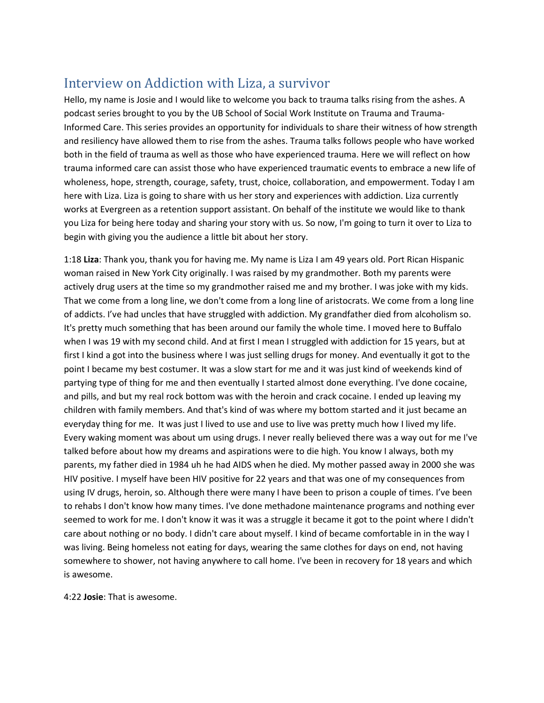# Interview on Addiction with Liza, a survivor

Hello, my name is Josie and I would like to welcome you back to trauma talks rising from the ashes. A podcast series brought to you by the UB School of Social Work Institute on Trauma and Trauma-Informed Care. This series provides an opportunity for individuals to share their witness of how strength and resiliency have allowed them to rise from the ashes. Trauma talks follows people who have worked both in the field of trauma as well as those who have experienced trauma. Here we will reflect on how trauma informed care can assist those who have experienced traumatic events to embrace a new life of wholeness, hope, strength, courage, safety, trust, choice, collaboration, and empowerment. Today I am here with Liza. Liza is going to share with us her story and experiences with addiction. Liza currently works at Evergreen as a retention support assistant. On behalf of the institute we would like to thank you Liza for being here today and sharing your story with us. So now, I'm going to turn it over to Liza to begin with giving you the audience a little bit about her story.

1:18 **Liza**: Thank you, thank you for having me. My name is Liza I am 49 years old. Port Rican Hispanic woman raised in New York City originally. I was raised by my grandmother. Both my parents were actively drug users at the time so my grandmother raised me and my brother. I was joke with my kids. That we come from a long line, we don't come from a long line of aristocrats. We come from a long line of addicts. I've had uncles that have struggled with addiction. My grandfather died from alcoholism so. It's pretty much something that has been around our family the whole time. I moved here to Buffalo when I was 19 with my second child. And at first I mean I struggled with addiction for 15 years, but at first I kind a got into the business where I was just selling drugs for money. And eventually it got to the point I became my best costumer. It was a slow start for me and it was just kind of weekends kind of partying type of thing for me and then eventually I started almost done everything. I've done cocaine, and pills, and but my real rock bottom was with the heroin and crack cocaine. I ended up leaving my children with family members. And that's kind of was where my bottom started and it just became an everyday thing for me. It was just I lived to use and use to live was pretty much how I lived my life. Every waking moment was about um using drugs. I never really believed there was a way out for me I've talked before about how my dreams and aspirations were to die high. You know I always, both my parents, my father died in 1984 uh he had AIDS when he died. My mother passed away in 2000 she was HIV positive. I myself have been HIV positive for 22 years and that was one of my consequences from using IV drugs, heroin, so. Although there were many I have been to prison a couple of times. I've been to rehabs I don't know how many times. I've done methadone maintenance programs and nothing ever seemed to work for me. I don't know it was it was a struggle it became it got to the point where I didn't care about nothing or no body. I didn't care about myself. I kind of became comfortable in in the way I was living. Being homeless not eating for days, wearing the same clothes for days on end, not having somewhere to shower, not having anywhere to call home. I've been in recovery for 18 years and which is awesome.

4:22 **Josie**: That is awesome.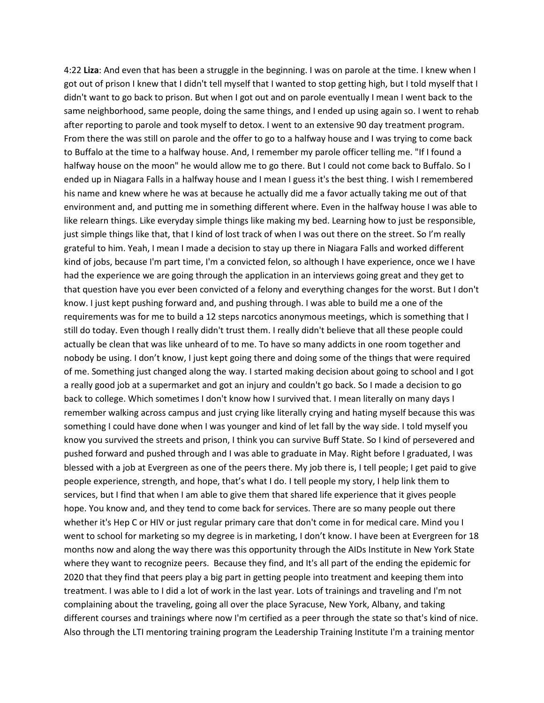4:22 **Liza**: And even that has been a struggle in the beginning. I was on parole at the time. I knew when I got out of prison I knew that I didn't tell myself that I wanted to stop getting high, but I told myself that I didn't want to go back to prison. But when I got out and on parole eventually I mean I went back to the same neighborhood, same people, doing the same things, and I ended up using again so. I went to rehab after reporting to parole and took myself to detox. I went to an extensive 90 day treatment program. From there the was still on parole and the offer to go to a halfway house and I was trying to come back to Buffalo at the time to a halfway house. And, I remember my parole officer telling me. "If I found a halfway house on the moon" he would allow me to go there. But I could not come back to Buffalo. So I ended up in Niagara Falls in a halfway house and I mean I guess it's the best thing. I wish I remembered his name and knew where he was at because he actually did me a favor actually taking me out of that environment and, and putting me in something different where. Even in the halfway house I was able to like relearn things. Like everyday simple things like making my bed. Learning how to just be responsible, just simple things like that, that I kind of lost track of when I was out there on the street. So I'm really grateful to him. Yeah, I mean I made a decision to stay up there in Niagara Falls and worked different kind of jobs, because I'm part time, I'm a convicted felon, so although I have experience, once we I have had the experience we are going through the application in an interviews going great and they get to that question have you ever been convicted of a felony and everything changes for the worst. But I don't know. I just kept pushing forward and, and pushing through. I was able to build me a one of the requirements was for me to build a 12 steps narcotics anonymous meetings, which is something that I still do today. Even though I really didn't trust them. I really didn't believe that all these people could actually be clean that was like unheard of to me. To have so many addicts in one room together and nobody be using. I don't know, I just kept going there and doing some of the things that were required of me. Something just changed along the way. I started making decision about going to school and I got a really good job at a supermarket and got an injury and couldn't go back. So I made a decision to go back to college. Which sometimes I don't know how I survived that. I mean literally on many days I remember walking across campus and just crying like literally crying and hating myself because this was something I could have done when I was younger and kind of let fall by the way side. I told myself you know you survived the streets and prison, I think you can survive Buff State. So I kind of persevered and pushed forward and pushed through and I was able to graduate in May. Right before I graduated, I was blessed with a job at Evergreen as one of the peers there. My job there is, I tell people; I get paid to give people experience, strength, and hope, that's what I do. I tell people my story, I help link them to services, but I find that when I am able to give them that shared life experience that it gives people hope. You know and, and they tend to come back for services. There are so many people out there whether it's Hep C or HIV or just regular primary care that don't come in for medical care. Mind you I went to school for marketing so my degree is in marketing, I don't know. I have been at Evergreen for 18 months now and along the way there was this opportunity through the AIDs Institute in New York State where they want to recognize peers. Because they find, and It's all part of the ending the epidemic for 2020 that they find that peers play a big part in getting people into treatment and keeping them into treatment. I was able to I did a lot of work in the last year. Lots of trainings and traveling and I'm not complaining about the traveling, going all over the place Syracuse, New York, Albany, and taking different courses and trainings where now I'm certified as a peer through the state so that's kind of nice. Also through the LTI mentoring training program the Leadership Training Institute I'm a training mentor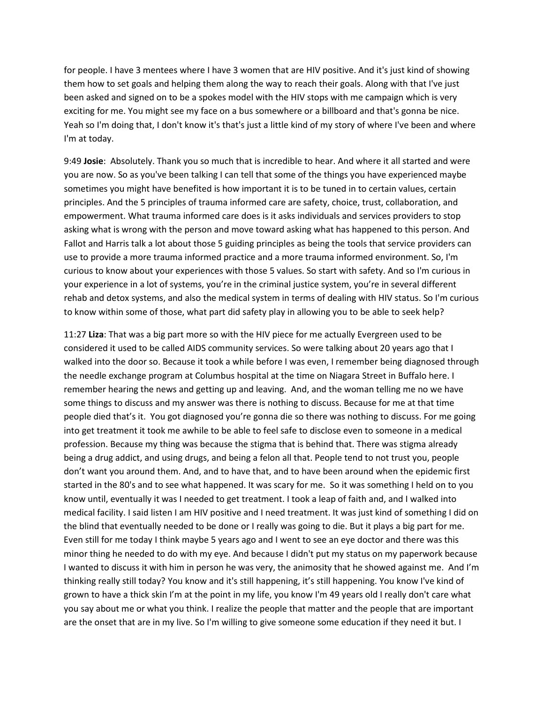for people. I have 3 mentees where I have 3 women that are HIV positive. And it's just kind of showing them how to set goals and helping them along the way to reach their goals. Along with that I've just been asked and signed on to be a spokes model with the HIV stops with me campaign which is very exciting for me. You might see my face on a bus somewhere or a billboard and that's gonna be nice. Yeah so I'm doing that, I don't know it's that's just a little kind of my story of where I've been and where I'm at today.

9:49 **Josie**: Absolutely. Thank you so much that is incredible to hear. And where it all started and were you are now. So as you've been talking I can tell that some of the things you have experienced maybe sometimes you might have benefited is how important it is to be tuned in to certain values, certain principles. And the 5 principles of trauma informed care are safety, choice, trust, collaboration, and empowerment. What trauma informed care does is it asks individuals and services providers to stop asking what is wrong with the person and move toward asking what has happened to this person. And Fallot and Harris talk a lot about those 5 guiding principles as being the tools that service providers can use to provide a more trauma informed practice and a more trauma informed environment. So, I'm curious to know about your experiences with those 5 values. So start with safety. And so I'm curious in your experience in a lot of systems, you're in the criminal justice system, you're in several different rehab and detox systems, and also the medical system in terms of dealing with HIV status. So I'm curious to know within some of those, what part did safety play in allowing you to be able to seek help?

11:27 **Liza**: That was a big part more so with the HIV piece for me actually Evergreen used to be considered it used to be called AIDS community services. So were talking about 20 years ago that I walked into the door so. Because it took a while before I was even, I remember being diagnosed through the needle exchange program at Columbus hospital at the time on Niagara Street in Buffalo here. I remember hearing the news and getting up and leaving. And, and the woman telling me no we have some things to discuss and my answer was there is nothing to discuss. Because for me at that time people died that's it. You got diagnosed you're gonna die so there was nothing to discuss. For me going into get treatment it took me awhile to be able to feel safe to disclose even to someone in a medical profession. Because my thing was because the stigma that is behind that. There was stigma already being a drug addict, and using drugs, and being a felon all that. People tend to not trust you, people don't want you around them. And, and to have that, and to have been around when the epidemic first started in the 80's and to see what happened. It was scary for me. So it was something I held on to you know until, eventually it was I needed to get treatment. I took a leap of faith and, and I walked into medical facility. I said listen I am HIV positive and I need treatment. It was just kind of something I did on the blind that eventually needed to be done or I really was going to die. But it plays a big part for me. Even still for me today I think maybe 5 years ago and I went to see an eye doctor and there was this minor thing he needed to do with my eye. And because I didn't put my status on my paperwork because I wanted to discuss it with him in person he was very, the animosity that he showed against me. And I'm thinking really still today? You know and it's still happening, it's still happening. You know I've kind of grown to have a thick skin I'm at the point in my life, you know I'm 49 years old I really don't care what you say about me or what you think. I realize the people that matter and the people that are important are the onset that are in my live. So I'm willing to give someone some education if they need it but. I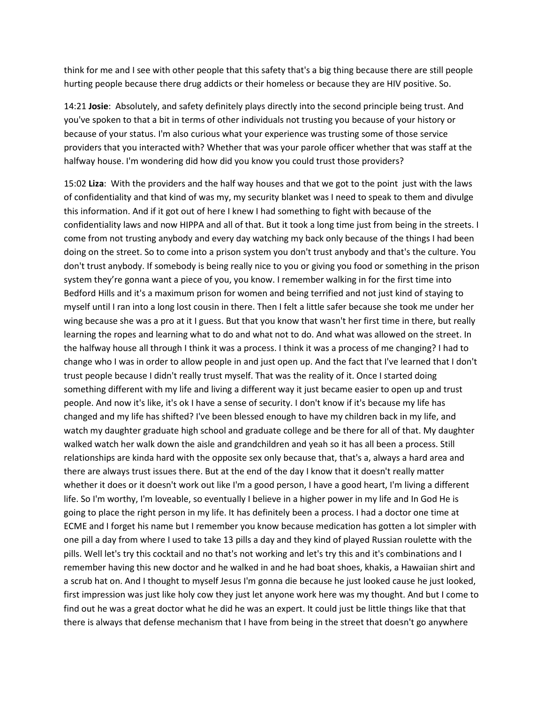think for me and I see with other people that this safety that's a big thing because there are still people hurting people because there drug addicts or their homeless or because they are HIV positive. So.

14:21 **Josie**: Absolutely, and safety definitely plays directly into the second principle being trust. And you've spoken to that a bit in terms of other individuals not trusting you because of your history or because of your status. I'm also curious what your experience was trusting some of those service providers that you interacted with? Whether that was your parole officer whether that was staff at the halfway house. I'm wondering did how did you know you could trust those providers?

15:02 **Liza**: With the providers and the half way houses and that we got to the point just with the laws of confidentiality and that kind of was my, my security blanket was I need to speak to them and divulge this information. And if it got out of here I knew I had something to fight with because of the confidentiality laws and now HIPPA and all of that. But it took a long time just from being in the streets. I come from not trusting anybody and every day watching my back only because of the things I had been doing on the street. So to come into a prison system you don't trust anybody and that's the culture. You don't trust anybody. If somebody is being really nice to you or giving you food or something in the prison system they're gonna want a piece of you, you know. I remember walking in for the first time into Bedford Hills and it's a maximum prison for women and being terrified and not just kind of staying to myself until I ran into a long lost cousin in there. Then I felt a little safer because she took me under her wing because she was a pro at it I guess. But that you know that wasn't her first time in there, but really learning the ropes and learning what to do and what not to do. And what was allowed on the street. In the halfway house all through I think it was a process. I think it was a process of me changing? I had to change who I was in order to allow people in and just open up. And the fact that I've learned that I don't trust people because I didn't really trust myself. That was the reality of it. Once I started doing something different with my life and living a different way it just became easier to open up and trust people. And now it's like, it's ok I have a sense of security. I don't know if it's because my life has changed and my life has shifted? I've been blessed enough to have my children back in my life, and watch my daughter graduate high school and graduate college and be there for all of that. My daughter walked watch her walk down the aisle and grandchildren and yeah so it has all been a process. Still relationships are kinda hard with the opposite sex only because that, that's a, always a hard area and there are always trust issues there. But at the end of the day I know that it doesn't really matter whether it does or it doesn't work out like I'm a good person, I have a good heart, I'm living a different life. So I'm worthy, I'm loveable, so eventually I believe in a higher power in my life and In God He is going to place the right person in my life. It has definitely been a process. I had a doctor one time at ECME and I forget his name but I remember you know because medication has gotten a lot simpler with one pill a day from where I used to take 13 pills a day and they kind of played Russian roulette with the pills. Well let's try this cocktail and no that's not working and let's try this and it's combinations and I remember having this new doctor and he walked in and he had boat shoes, khakis, a Hawaiian shirt and a scrub hat on. And I thought to myself Jesus I'm gonna die because he just looked cause he just looked, first impression was just like holy cow they just let anyone work here was my thought. And but I come to find out he was a great doctor what he did he was an expert. It could just be little things like that that there is always that defense mechanism that I have from being in the street that doesn't go anywhere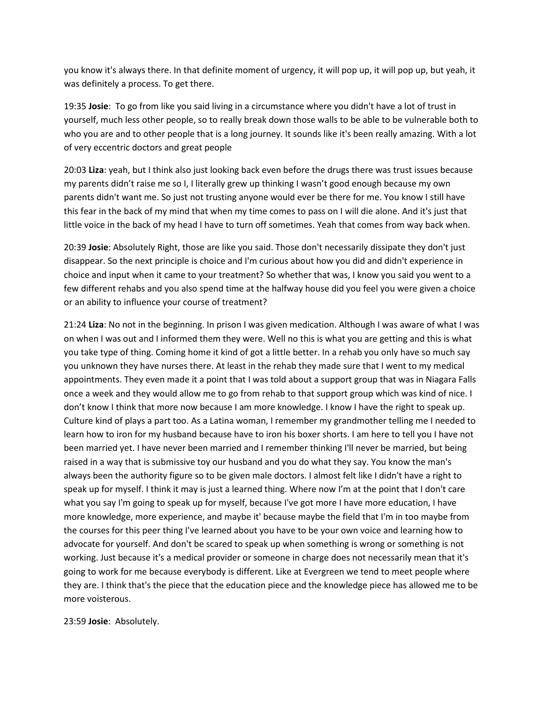you know it's always there. In that definite moment of urgency, it will pop up, it will pop up, but yeah, it was definitely a process. To get there.

19:35 **Josie**: To go from like you said living in a circumstance where you didn't have a lot of trust in yourself, much less other people, so to really break down those walls to be able to be vulnerable both to who you are and to other people that is a long journey. It sounds like it's been really amazing. With a lot of very eccentric doctors and great people

20:03 **Liza**: yeah, but I think also just looking back even before the drugs there was trust issues because my parents didn't raise me so I, I literally grew up thinking I wasn't good enough because my own parents didn't want me. So just not trusting anyone would ever be there for me. You know I still have this fear in the back of my mind that when my time comes to pass on I will die alone. And it's just that little voice in the back of my head I have to turn off sometimes. Yeah that comes from way back when.

20:39 **Josie**: Absolutely Right, those are like you said. Those don't necessarily dissipate they don't just disappear. So the next principle is choice and I'm curious about how you did and didn't experience in choice and input when it came to your treatment? So whether that was, I know you said you went to a few different rehabs and you also spend time at the halfway house did you feel you were given a choice or an ability to influence your course of treatment?

21:24 **Liza**: No not in the beginning. In prison I was given medication. Although I was aware of what I was on when I was out and I informed them they were. Well no this is what you are getting and this is what you take type of thing. Coming home it kind of got a little better. In a rehab you only have so much say you unknown they have nurses there. At least in the rehab they made sure that I went to my medical appointments. They even made it a point that I was told about a support group that was in Niagara Falls once a week and they would allow me to go from rehab to that support group which was kind of nice. I don't know I think that more now because I am more knowledge. I know I have the right to speak up. Culture kind of plays a part too. As a Latina woman, I remember my grandmother telling me I needed to learn how to iron for my husband because have to iron his boxer shorts. I am here to tell you I have not been married yet. I have never been married and I remember thinking I'll never be married, but being raised in a way that is submissive toy our husband and you do what they say. You know the man's always been the authority figure so to be given male doctors. I almost felt like I didn't have a right to speak up for myself. I think it may is just a learned thing. Where now I'm at the point that I don't care what you say I'm going to speak up for myself, because I've got more I have more education, I have more knowledge, more experience, and maybe it' because maybe the field that I'm in too maybe from the courses for this peer thing I've learned about you have to be your own voice and learning how to advocate for yourself. And don't be scared to speak up when something is wrong or something is not working. Just because it's a medical provider or someone in charge does not necessarily mean that it's going to work for me because everybody is different. Like at Evergreen we tend to meet people where they are. I think that's the piece that the education piece and the knowledge piece has allowed me to be more voisterous.

23:59 **Josie**: Absolutely.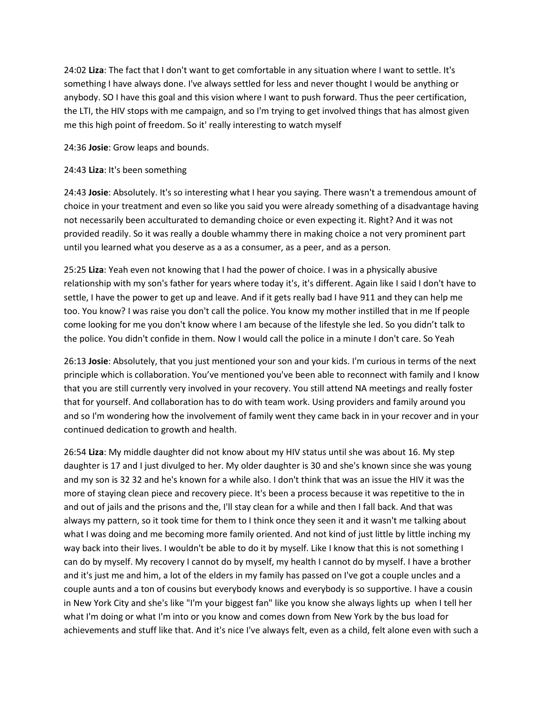24:02 **Liza**: The fact that I don't want to get comfortable in any situation where I want to settle. It's something I have always done. I've always settled for less and never thought I would be anything or anybody. SO I have this goal and this vision where I want to push forward. Thus the peer certification, the LTI, the HIV stops with me campaign, and so I'm trying to get involved things that has almost given me this high point of freedom. So it' really interesting to watch myself

24:36 **Josie**: Grow leaps and bounds.

## 24:43 **Liza**: It's been something

24:43 **Josie**: Absolutely. It's so interesting what I hear you saying. There wasn't a tremendous amount of choice in your treatment and even so like you said you were already something of a disadvantage having not necessarily been acculturated to demanding choice or even expecting it. Right? And it was not provided readily. So it was really a double whammy there in making choice a not very prominent part until you learned what you deserve as a as a consumer, as a peer, and as a person.

25:25 **Liza**: Yeah even not knowing that I had the power of choice. I was in a physically abusive relationship with my son's father for years where today it's, it's different. Again like I said I don't have to settle, I have the power to get up and leave. And if it gets really bad I have 911 and they can help me too. You know? I was raise you don't call the police. You know my mother instilled that in me If people come looking for me you don't know where I am because of the lifestyle she led. So you didn't talk to the police. You didn't confide in them. Now I would call the police in a minute I don't care. So Yeah

26:13 **Josie**: Absolutely, that you just mentioned your son and your kids. I'm curious in terms of the next principle which is collaboration. You've mentioned you've been able to reconnect with family and I know that you are still currently very involved in your recovery. You still attend NA meetings and really foster that for yourself. And collaboration has to do with team work. Using providers and family around you and so I'm wondering how the involvement of family went they came back in in your recover and in your continued dedication to growth and health.

26:54 **Liza**: My middle daughter did not know about my HIV status until she was about 16. My step daughter is 17 and I just divulged to her. My older daughter is 30 and she's known since she was young and my son is 32 32 and he's known for a while also. I don't think that was an issue the HIV it was the more of staying clean piece and recovery piece. It's been a process because it was repetitive to the in and out of jails and the prisons and the, I'll stay clean for a while and then I fall back. And that was always my pattern, so it took time for them to I think once they seen it and it wasn't me talking about what I was doing and me becoming more family oriented. And not kind of just little by little inching my way back into their lives. I wouldn't be able to do it by myself. Like I know that this is not something I can do by myself. My recovery I cannot do by myself, my health I cannot do by myself. I have a brother and it's just me and him, a lot of the elders in my family has passed on I've got a couple uncles and a couple aunts and a ton of cousins but everybody knows and everybody is so supportive. I have a cousin in New York City and she's like "I'm your biggest fan" like you know she always lights up when I tell her what I'm doing or what I'm into or you know and comes down from New York by the bus load for achievements and stuff like that. And it's nice I've always felt, even as a child, felt alone even with such a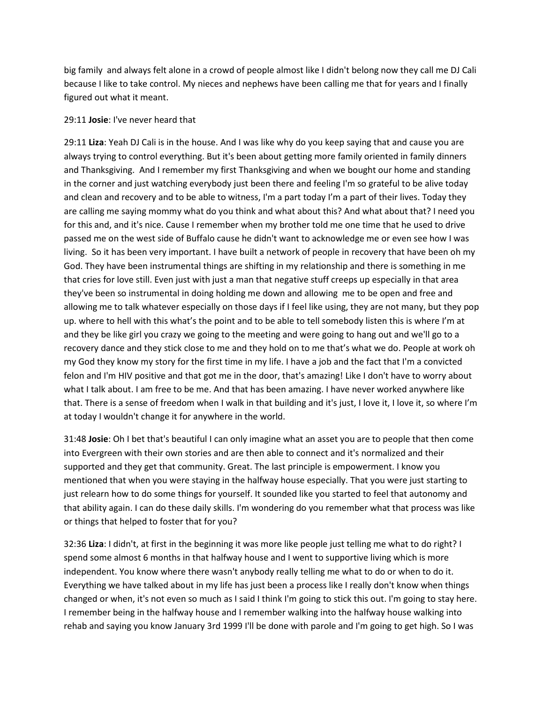big family and always felt alone in a crowd of people almost like I didn't belong now they call me DJ Cali because I like to take control. My nieces and nephews have been calling me that for years and I finally figured out what it meant.

### 29:11 **Josie**: I've never heard that

29:11 **Liza**: Yeah DJ Cali is in the house. And I was like why do you keep saying that and cause you are always trying to control everything. But it's been about getting more family oriented in family dinners and Thanksgiving. And I remember my first Thanksgiving and when we bought our home and standing in the corner and just watching everybody just been there and feeling I'm so grateful to be alive today and clean and recovery and to be able to witness, I'm a part today I'm a part of their lives. Today they are calling me saying mommy what do you think and what about this? And what about that? I need you for this and, and it's nice. Cause I remember when my brother told me one time that he used to drive passed me on the west side of Buffalo cause he didn't want to acknowledge me or even see how I was living. So it has been very important. I have built a network of people in recovery that have been oh my God. They have been instrumental things are shifting in my relationship and there is something in me that cries for love still. Even just with just a man that negative stuff creeps up especially in that area they've been so instrumental in doing holding me down and allowing me to be open and free and allowing me to talk whatever especially on those days if I feel like using, they are not many, but they pop up. where to hell with this what's the point and to be able to tell somebody listen this is where I'm at and they be like girl you crazy we going to the meeting and were going to hang out and we'll go to a recovery dance and they stick close to me and they hold on to me that's what we do. People at work oh my God they know my story for the first time in my life. I have a job and the fact that I'm a convicted felon and I'm HIV positive and that got me in the door, that's amazing! Like I don't have to worry about what I talk about. I am free to be me. And that has been amazing. I have never worked anywhere like that. There is a sense of freedom when I walk in that building and it's just, I love it, I love it, so where I'm at today I wouldn't change it for anywhere in the world.

31:48 **Josie**: Oh I bet that's beautiful I can only imagine what an asset you are to people that then come into Evergreen with their own stories and are then able to connect and it's normalized and their supported and they get that community. Great. The last principle is empowerment. I know you mentioned that when you were staying in the halfway house especially. That you were just starting to just relearn how to do some things for yourself. It sounded like you started to feel that autonomy and that ability again. I can do these daily skills. I'm wondering do you remember what that process was like or things that helped to foster that for you?

32:36 **Liza**: I didn't, at first in the beginning it was more like people just telling me what to do right? I spend some almost 6 months in that halfway house and I went to supportive living which is more independent. You know where there wasn't anybody really telling me what to do or when to do it. Everything we have talked about in my life has just been a process like I really don't know when things changed or when, it's not even so much as I said I think I'm going to stick this out. I'm going to stay here. I remember being in the halfway house and I remember walking into the halfway house walking into rehab and saying you know January 3rd 1999 I'll be done with parole and I'm going to get high. So I was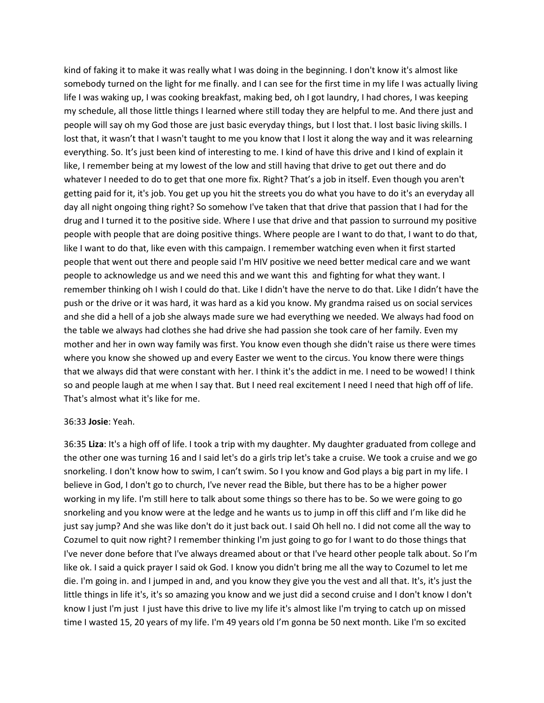kind of faking it to make it was really what I was doing in the beginning. I don't know it's almost like somebody turned on the light for me finally. and I can see for the first time in my life I was actually living life I was waking up, I was cooking breakfast, making bed, oh I got laundry, I had chores, I was keeping my schedule, all those little things I learned where still today they are helpful to me. And there just and people will say oh my God those are just basic everyday things, but I lost that. I lost basic living skills. I lost that, it wasn't that I wasn't taught to me you know that I lost it along the way and it was relearning everything. So. It's just been kind of interesting to me. I kind of have this drive and I kind of explain it like, I remember being at my lowest of the low and still having that drive to get out there and do whatever I needed to do to get that one more fix. Right? That's a job in itself. Even though you aren't getting paid for it, it's job. You get up you hit the streets you do what you have to do it's an everyday all day all night ongoing thing right? So somehow I've taken that that drive that passion that I had for the drug and I turned it to the positive side. Where I use that drive and that passion to surround my positive people with people that are doing positive things. Where people are I want to do that, I want to do that, like I want to do that, like even with this campaign. I remember watching even when it first started people that went out there and people said I'm HIV positive we need better medical care and we want people to acknowledge us and we need this and we want this and fighting for what they want. I remember thinking oh I wish I could do that. Like I didn't have the nerve to do that. Like I didn't have the push or the drive or it was hard, it was hard as a kid you know. My grandma raised us on social services and she did a hell of a job she always made sure we had everything we needed. We always had food on the table we always had clothes she had drive she had passion she took care of her family. Even my mother and her in own way family was first. You know even though she didn't raise us there were times where you know she showed up and every Easter we went to the circus. You know there were things that we always did that were constant with her. I think it's the addict in me. I need to be wowed! I think so and people laugh at me when I say that. But I need real excitement I need I need that high off of life. That's almost what it's like for me.

### 36:33 **Josie**: Yeah.

36:35 **Liza**: It's a high off of life. I took a trip with my daughter. My daughter graduated from college and the other one was turning 16 and I said let's do a girls trip let's take a cruise. We took a cruise and we go snorkeling. I don't know how to swim, I can't swim. So I you know and God plays a big part in my life. I believe in God, I don't go to church, I've never read the Bible, but there has to be a higher power working in my life. I'm still here to talk about some things so there has to be. So we were going to go snorkeling and you know were at the ledge and he wants us to jump in off this cliff and I'm like did he just say jump? And she was like don't do it just back out. I said Oh hell no. I did not come all the way to Cozumel to quit now right? I remember thinking I'm just going to go for I want to do those things that I've never done before that I've always dreamed about or that I've heard other people talk about. So I'm like ok. I said a quick prayer I said ok God. I know you didn't bring me all the way to Cozumel to let me die. I'm going in. and I jumped in and, and you know they give you the vest and all that. It's, it's just the little things in life it's, it's so amazing you know and we just did a second cruise and I don't know I don't know I just I'm just I just have this drive to live my life it's almost like I'm trying to catch up on missed time I wasted 15, 20 years of my life. I'm 49 years old I'm gonna be 50 next month. Like I'm so excited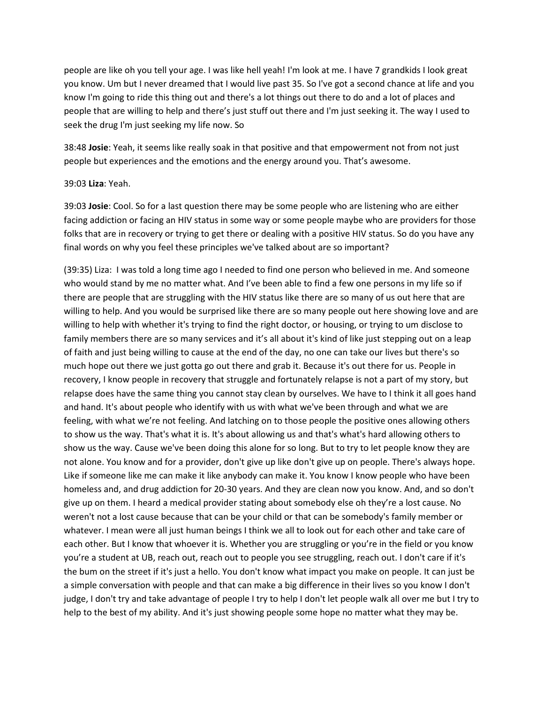people are like oh you tell your age. I was like hell yeah! I'm look at me. I have 7 grandkids I look great you know. Um but I never dreamed that I would live past 35. So I've got a second chance at life and you know I'm going to ride this thing out and there's a lot things out there to do and a lot of places and people that are willing to help and there's just stuff out there and I'm just seeking it. The way I used to seek the drug I'm just seeking my life now. So

38:48 **Josie**: Yeah, it seems like really soak in that positive and that empowerment not from not just people but experiences and the emotions and the energy around you. That's awesome.

#### 39:03 **Liza**: Yeah.

39:03 **Josie**: Cool. So for a last question there may be some people who are listening who are either facing addiction or facing an HIV status in some way or some people maybe who are providers for those folks that are in recovery or trying to get there or dealing with a positive HIV status. So do you have any final words on why you feel these principles we've talked about are so important?

(39:35) Liza: I was told a long time ago I needed to find one person who believed in me. And someone who would stand by me no matter what. And I've been able to find a few one persons in my life so if there are people that are struggling with the HIV status like there are so many of us out here that are willing to help. And you would be surprised like there are so many people out here showing love and are willing to help with whether it's trying to find the right doctor, or housing, or trying to um disclose to family members there are so many services and it's all about it's kind of like just stepping out on a leap of faith and just being willing to cause at the end of the day, no one can take our lives but there's so much hope out there we just gotta go out there and grab it. Because it's out there for us. People in recovery, I know people in recovery that struggle and fortunately relapse is not a part of my story, but relapse does have the same thing you cannot stay clean by ourselves. We have to I think it all goes hand and hand. It's about people who identify with us with what we've been through and what we are feeling, with what we're not feeling. And latching on to those people the positive ones allowing others to show us the way. That's what it is. It's about allowing us and that's what's hard allowing others to show us the way. Cause we've been doing this alone for so long. But to try to let people know they are not alone. You know and for a provider, don't give up like don't give up on people. There's always hope. Like if someone like me can make it like anybody can make it. You know I know people who have been homeless and, and drug addiction for 20-30 years. And they are clean now you know. And, and so don't give up on them. I heard a medical provider stating about somebody else oh they're a lost cause. No weren't not a lost cause because that can be your child or that can be somebody's family member or whatever. I mean were all just human beings I think we all to look out for each other and take care of each other. But I know that whoever it is. Whether you are struggling or you're in the field or you know you're a student at UB, reach out, reach out to people you see struggling, reach out. I don't care if it's the bum on the street if it's just a hello. You don't know what impact you make on people. It can just be a simple conversation with people and that can make a big difference in their lives so you know I don't judge, I don't try and take advantage of people I try to help I don't let people walk all over me but I try to help to the best of my ability. And it's just showing people some hope no matter what they may be.